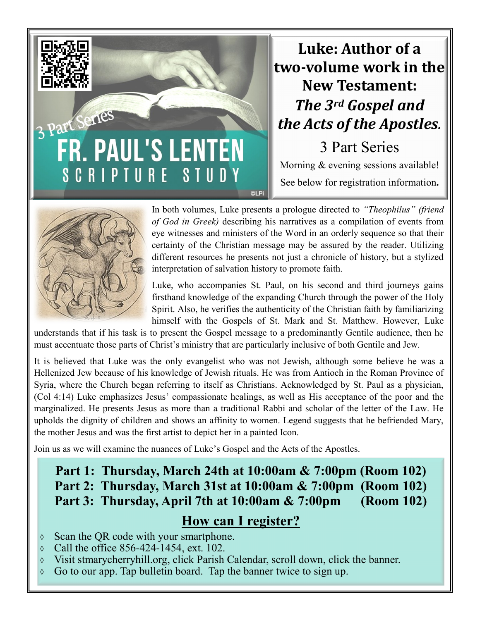# 3 Part Series FR. PAUL'S LENTEN **SCRIPTURE** STUDY **©LPi**

# **Luke: Author of a two-volume work in the New Testament:** *The 3rd Gospel and the Acts of the Apostles.*

3 Part Series Morning & evening sessions available! See below for registration information**.**



In both volumes, Luke presents a prologue directed to *"Theophilus" (friend of God in Greek)* describing his narratives as a compilation of events from eye witnesses and ministers of the Word in an orderly sequence so that their certainty of the Christian message may be assured by the reader. Utilizing different resources he presents not just a chronicle of history, but a stylized interpretation of salvation history to promote faith.

Luke, who accompanies St. Paul, on his second and third journeys gains firsthand knowledge of the expanding Church through the power of the Holy Spirit. Also, he verifies the authenticity of the Christian faith by familiarizing himself with the Gospels of St. Mark and St. Matthew. However, Luke

understands that if his task is to present the Gospel message to a predominantly Gentile audience, then he must accentuate those parts of Christ's ministry that are particularly inclusive of both Gentile and Jew.

It is believed that Luke was the only evangelist who was not Jewish, although some believe he was a Hellenized Jew because of his knowledge of Jewish rituals. He was from Antioch in the Roman Province of Syria, where the Church began referring to itself as Christians. Acknowledged by St. Paul as a physician, (Col 4:14) Luke emphasizes Jesus' compassionate healings, as well as His acceptance of the poor and the marginalized. He presents Jesus as more than a traditional Rabbi and scholar of the letter of the Law. He upholds the dignity of children and shows an affinity to women. Legend suggests that he befriended Mary, the mother Jesus and was the first artist to depict her in a painted Icon.

Join us as we will examine the nuances of Luke's Gospel and the Acts of the Apostles.

## **Part 1: Thursday, March 24th at 10:00am & 7:00pm (Room 102) Part 2: Thursday, March 31st at 10:00am & 7:00pm (Room 102) Part 3: Thursday, April 7th at 10:00am & 7:00pm (Room 102)**

#### **How can I register?**

- $\circ$  Scan the QR code with your smartphone.
- $\circ$  Call the office 856-424-1454, ext. 102.
- $\Diamond$  Visit stmarycherryhill.org, click Parish Calendar, scroll down, click the banner.
- $\circ$  Go to our app. Tap bulletin board. Tap the banner twice to sign up.